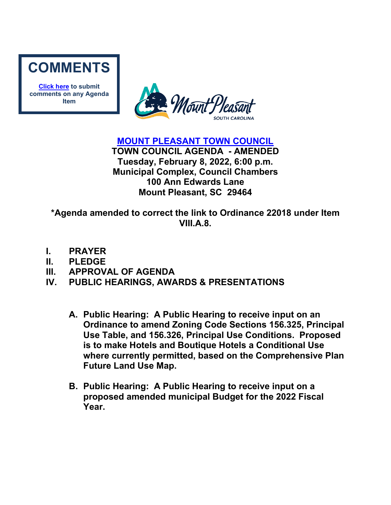

**[Click here](mailto:councilclk@tompsc.com) to submit comments on any Agenda Item**



**[MOUNT PLEASANT TOWN COUNCIL](http://www.tompsc.com/index.aspx?NID=91)**

**TOWN COUNCIL AGENDA - AMENDED Tuesday, February 8, 2022, 6:00 p.m. Municipal Complex, Council Chambers 100 Ann Edwards Lane Mount Pleasant, SC 29464**

**\*Agenda amended to correct the link to Ordinance 22018 under Item VIII.A.8.**

- **I. PRAYER**
- **II. PLEDGE**
- **III. APPROVAL OF AGENDA**
- **IV. PUBLIC HEARINGS, AWARDS & PRESENTATIONS**
	- **A. Public Hearing: A Public Hearing to receive input on an Ordinance to amend Zoning Code Sections 156.325, Principal Use Table, and 156.326, Principal Use Conditions. Proposed is to make Hotels and Boutique Hotels a Conditional Use where currently permitted, based on the Comprehensive Plan Future Land Use Map.**
	- **B. Public Hearing: A Public Hearing to receive input on a proposed amended municipal Budget for the 2022 Fiscal Year.**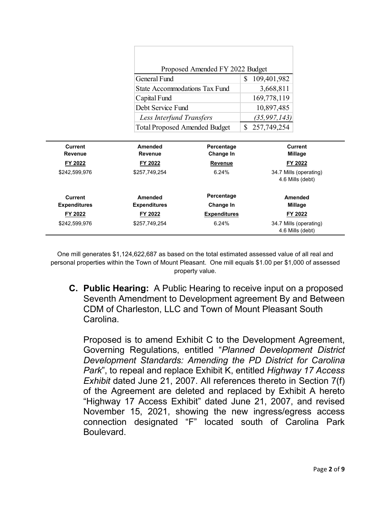|                           | General Fund<br><b>State Accommodations Tax Fund</b><br>Capital Fund<br>Debt Service Fund | Proposed Amended FY 2022 Budget | S.<br>109,401,982<br>3,668,811<br>169,778,119<br>10,897,485 |                           |  |
|---------------------------|-------------------------------------------------------------------------------------------|---------------------------------|-------------------------------------------------------------|---------------------------|--|
|                           | <b>Less Interfund Transfers</b>                                                           |                                 | (35, 997, 143)                                              |                           |  |
|                           | <b>Total Proposed Amended Budget</b>                                                      |                                 | $\mathbb{S}^-$<br>257,749,254                               |                           |  |
|                           |                                                                                           |                                 |                                                             | <b>Current</b><br>Millage |  |
| <b>Current</b><br>Revenue | Amended<br>Revenue                                                                        | Percentage<br>Change In         |                                                             |                           |  |
| FY 2022                   | FY 2022                                                                                   | <b>Revenue</b>                  | FY 2022                                                     |                           |  |
| \$242,599,976             | \$257,749,254                                                                             | 6.24%                           | 34.7 Mills (operating)<br>4.6 Mills (debt)                  |                           |  |
| <b>Current</b>            | Amended                                                                                   | Percentage                      | Amended                                                     |                           |  |
| <b>Expenditures</b>       | <b>Expenditures</b>                                                                       | Change In                       | Millage                                                     |                           |  |
| FY 2022                   | FY 2022                                                                                   | <b>Expenditures</b>             | FY 2022                                                     |                           |  |

One mill generates \$1,124,622,687 as based on the total estimated assessed value of all real and personal properties within the Town of Mount Pleasant. One mill equals \$1.00 per \$1,000 of assessed property value.

**C. Public Hearing:** A Public Hearing to receive input on a proposed Seventh Amendment to Development agreement By and Between CDM of Charleston, LLC and Town of Mount Pleasant South Carolina.

Proposed is to amend Exhibit C to the Development Agreement, Governing Regulations, entitled "*Planned Development District Development Standards: Amending the PD District for Carolina Park*", to repeal and replace Exhibit K, entitled *Highway 17 Access Exhibit* dated June 21, 2007. All references thereto in Section 7(f) of the Agreement are deleted and replaced by Exhibit A hereto "Highway 17 Access Exhibit" dated June 21, 2007, and revised November 15, 2021, showing the new ingress/egress access connection designated "F" located south of Carolina Park Boulevard.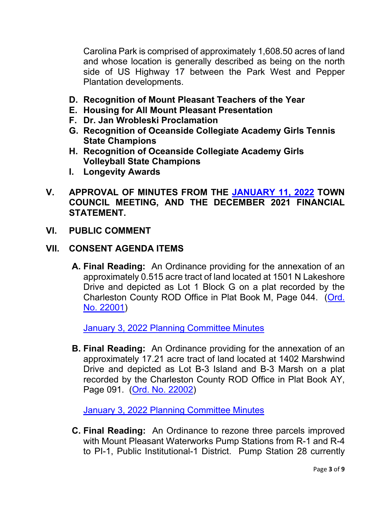Carolina Park is comprised of approximately 1,608.50 acres of land and whose location is generally described as being on the north side of US Highway 17 between the Park West and Pepper Plantation developments.

- **D. Recognition of Mount Pleasant Teachers of the Year**
- **E. Housing for All Mount Pleasant Presentation**
- **F. Dr. Jan Wrobleski Proclamation**
- **G. Recognition of Oceanside Collegiate Academy Girls Tennis State Champions**
- **H. Recognition of Oceanside Collegiate Academy Girls Volleyball State Champions**
- **I. Longevity Awards**
- **V. APPROVAL OF MINUTES FROM THE [JANUARY 11, 2022](https://www.tompsc.com/AgendaCenter/ViewFile/Minutes/_01112022-1126) TOWN COUNCIL MEETING, AND THE DECEMBER 2021 FINANCIAL STATEMENT.**
- **VI. PUBLIC COMMENT**

#### **VII. CONSENT AGENDA ITEMS**

**A. Final Reading:** An Ordinance providing for the annexation of an approximately 0.515 acre tract of land located at 1501 N Lakeshore Drive and depicted as Lot 1 Block G on a plat recorded by the Charleston County ROD Office in Plat Book M, Page 044. [\(Ord.](https://www.tompsc.com/DocumentCenter/View/40078/Ord-No-22001)  [No. 22001\)](https://www.tompsc.com/DocumentCenter/View/40078/Ord-No-22001)

[January 3, 2022 Planning Committee Minutes](https://www.tompsc.com/AgendaCenter/ViewFile/Minutes/_01032022-1123)

**B. Final Reading:** An Ordinance providing for the annexation of an approximately 17.21 acre tract of land located at 1402 Marshwind Drive and depicted as Lot B-3 Island and B-3 Marsh on a plat recorded by the Charleston County ROD Office in Plat Book AY, Page 091. [\(Ord. No. 22002\)](https://www.tompsc.com/DocumentCenter/View/40079/Ord-No-22002)

[January 3, 2022 Planning Committee Minutes](https://www.tompsc.com/AgendaCenter/ViewFile/Minutes/_01032022-1123)

**C. Final Reading:** An Ordinance to rezone three parcels improved with Mount Pleasant Waterworks Pump Stations from R-1 and R-4 to PI-1, Public Institutional-1 District. Pump Station 28 currently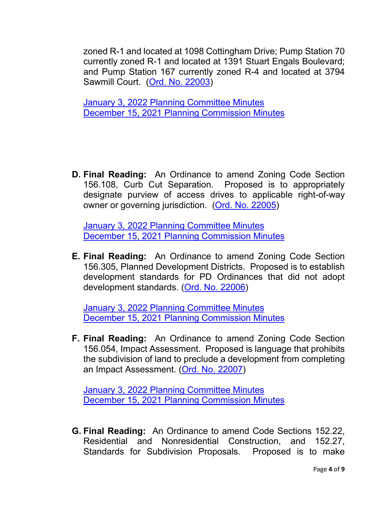zoned R-1 and located at 1098 Cottingham Drive; Pump Station 70 currently zoned R-1 and located at 1391 Stuart Engals Boulevard; and Pump Station 167 currently zoned R-4 and located at 3794 Sawmill Court. [\(Ord. No. 22003\)](https://www.tompsc.com/DocumentCenter/View/40080/Ord-No-22003)

[January 3, 2022 Planning Committee Minutes](https://www.tompsc.com/AgendaCenter/ViewFile/Minutes/_01032022-1123) [December 15, 2021 Planning Commission Minutes](https://www.tompsc.com/AgendaCenter/ViewFile/Agenda/_12152021-1099)

**D. Final Reading:** An Ordinance to amend Zoning Code Section 156.108, Curb Cut Separation. Proposed is to appropriately designate purview of access drives to applicable right-of-way owner or governing jurisdiction. [\(Ord. No. 22005\)](https://www.tompsc.com/DocumentCenter/View/40072/Ord-No-22005)

[January 3, 2022 Planning Committee Minutes](https://www.tompsc.com/AgendaCenter/ViewFile/Minutes/_01032022-1123) [December 15, 2021 Planning Commission Minutes](https://www.tompsc.com/AgendaCenter/ViewFile/Agenda/_12152021-1099)

**E. Final Reading:** An Ordinance to amend Zoning Code Section 156.305, Planned Development Districts. Proposed is to establish development standards for PD Ordinances that did not adopt development standards. [\(Ord. No. 22006\)](https://www.tompsc.com/DocumentCenter/View/40073/Ord-No-22006)

[January 3, 2022 Planning Committee Minutes](https://www.tompsc.com/AgendaCenter/ViewFile/Minutes/_01032022-1123) [December 15, 2021 Planning Commission Minutes](https://www.tompsc.com/AgendaCenter/ViewFile/Agenda/_12152021-1099)

**F. Final Reading:** An Ordinance to amend Zoning Code Section 156.054, Impact Assessment. Proposed is language that prohibits the subdivision of land to preclude a development from completing an Impact Assessment. [\(Ord. No. 22007\)](https://www.tompsc.com/DocumentCenter/View/40074/Ord-No-22007)

[January 3, 2022 Planning Committee Minutes](https://www.tompsc.com/AgendaCenter/ViewFile/Minutes/_01032022-1123) [December 15, 2021 Planning Commission Minutes](https://www.tompsc.com/AgendaCenter/ViewFile/Agenda/_12152021-1099)

**G. Final Reading:** An Ordinance to amend Code Sections 152.22, Residential and Nonresidential Construction, and 152.27, Standards for Subdivision Proposals. Proposed is to make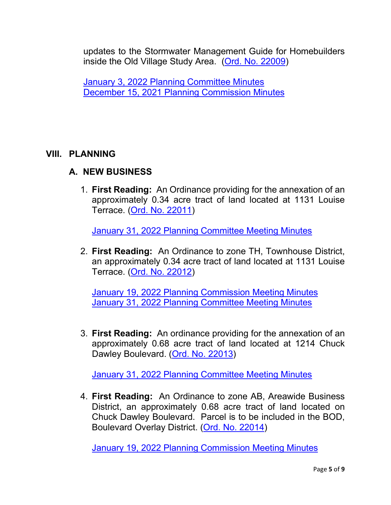updates to the Stormwater Management Guide for Homebuilders inside the Old Village Study Area. [\(Ord. No. 22009\)](https://www.tompsc.com/DocumentCenter/View/40076/Ord-No-22009)

[January 3, 2022 Planning Committee Minutes](https://www.tompsc.com/AgendaCenter/ViewFile/Minutes/_01032022-1123) [December 15, 2021 Planning Commission Minutes](https://www.tompsc.com/AgendaCenter/ViewFile/Agenda/_12152021-1099)

# **VIII. PLANNING**

# **A. NEW BUSINESS**

1. **First Reading:** An Ordinance providing for the annexation of an approximately 0.34 acre tract of land located at 1131 Louise Terrace. [\(Ord. No. 22011\)](https://www.tompsc.com/DocumentCenter/View/40399/Ord-No-22011)

[January 31, 2022 Planning Committee Meeting Minutes](https://www.tompsc.com/AgendaCenter/ViewFile/Minutes/_01312022-1141)

2. **First Reading:** An Ordinance to zone TH, Townhouse District, an approximately 0.34 acre tract of land located at 1131 Louise Terrace. [\(Ord. No. 22012\)](https://www.tompsc.com/DocumentCenter/View/40400/Ord-No-22012)

[January 19, 2022 Planning Commission Meeting Minutes](https://www.tompsc.com/AgendaCenter/ViewFile/Minutes/_01192022-1125) [January 31, 2022 Planning Committee Meeting Minutes](https://www.tompsc.com/AgendaCenter/ViewFile/Minutes/_01312022-1141)

3. **First Reading:** An ordinance providing for the annexation of an approximately 0.68 acre tract of land located at 1214 Chuck Dawley Boulevard. [\(Ord. No.](https://www.tompsc.com/DocumentCenter/View/40401/Ord-No-22013) 22013)

[January 31, 2022 Planning Committee Meeting Minutes](https://www.tompsc.com/AgendaCenter/ViewFile/Minutes/_01312022-1141)

4. **First Reading:** An Ordinance to zone AB, Areawide Business District, an approximately 0.68 acre tract of land located on Chuck Dawley Boulevard. Parcel is to be included in the BOD, Boulevard Overlay District. [\(Ord. No. 22014\)](https://www.tompsc.com/DocumentCenter/View/40401/Ord-No-22013)

[January 19, 2022 Planning Commission Meeting Minutes](https://www.tompsc.com/AgendaCenter/ViewFile/Minutes/_01192022-1125)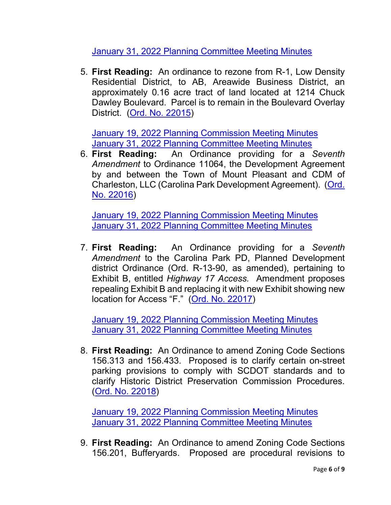[January 31, 2022 Planning Committee Meeting Minutes](https://www.tompsc.com/AgendaCenter/ViewFile/Minutes/_01312022-1141)

5. **First Reading:** An ordinance to rezone from R-1, Low Density Residential District, to AB, Areawide Business District, an approximately 0.16 acre tract of land located at 1214 Chuck Dawley Boulevard. Parcel is to remain in the Boulevard Overlay District. [\(Ord. No. 22015\)](https://www.tompsc.com/DocumentCenter/View/40403/Ord-No-22015)

[January 19, 2022 Planning Commission Meeting Minutes](https://www.tompsc.com/AgendaCenter/ViewFile/Minutes/_01192022-1125) [January 31, 2022 Planning Committee Meeting Minutes](https://www.tompsc.com/AgendaCenter/ViewFile/Minutes/_01312022-1141)

6. **First Reading:** An Ordinance providing for a *Seventh Amendment* to Ordinance 11064, the Development Agreement by and between the Town of Mount Pleasant and CDM of Charleston, LLC (Carolina Park Development Agreement). [\(Ord.](https://www.tompsc.com/DocumentCenter/View/40395/Ord-No-22016)  [No. 22016\)](https://www.tompsc.com/DocumentCenter/View/40395/Ord-No-22016)

[January 19, 2022 Planning Commission Meeting Minutes](https://www.tompsc.com/AgendaCenter/ViewFile/Minutes/_01192022-1125) [January 31, 2022 Planning Committee Meeting Minutes](https://www.tompsc.com/AgendaCenter/ViewFile/Minutes/_01312022-1141)

7. **First Reading:** An Ordinance providing for a *Seventh Amendment* to the Carolina Park PD, Planned Development district Ordinance (Ord. R-13-90, as amended), pertaining to Exhibit B, entitled *Highway 17 Access.* Amendment proposes repealing Exhibit B and replacing it with new Exhibit showing new location for Access "F." [\(Ord. No. 22017\)](https://www.tompsc.com/DocumentCenter/View/40396/Ord-No-22017)

[January 19, 2022 Planning Commission Meeting Minutes](https://www.tompsc.com/AgendaCenter/ViewFile/Minutes/_01192022-1125) [January 31, 2022 Planning Committee Meeting Minutes](https://www.tompsc.com/AgendaCenter/ViewFile/Minutes/_01312022-1141)

8. **First Reading:** An Ordinance to amend Zoning Code Sections 156.313 and 156.433. Proposed is to clarify certain on-street parking provisions to comply with SCDOT standards and to clarify Historic District Preservation Commission Procedures. [\(Ord. No. 22018\)](https://www.tompsc.com/DocumentCenter/View/40397/Ord-No-22018)

[January 19, 2022 Planning Commission Meeting Minutes](https://www.tompsc.com/AgendaCenter/ViewFile/Minutes/_01192022-1125) [January 31, 2022 Planning Committee Meeting Minutes](https://www.tompsc.com/AgendaCenter/ViewFile/Minutes/_01312022-1141)

9. **First Reading:** An Ordinance to amend Zoning Code Sections 156.201, Bufferyards. Proposed are procedural revisions to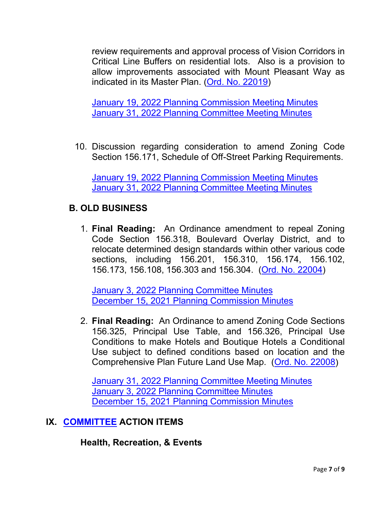review requirements and approval process of Vision Corridors in Critical Line Buffers on residential lots. Also is a provision to allow improvements associated with Mount Pleasant Way as indicated in its Master Plan. [\(Ord. No. 22019\)](https://www.tompsc.com/DocumentCenter/View/40396/Ord-No-22017)

[January 19, 2022 Planning Commission Meeting Minutes](https://www.tompsc.com/AgendaCenter/ViewFile/Minutes/_01192022-1125) [January 31, 2022 Planning Committee Meeting Minutes](https://www.tompsc.com/AgendaCenter/ViewFile/Minutes/_01312022-1141)

10. Discussion regarding consideration to amend Zoning Code Section 156.171, Schedule of Off-Street Parking Requirements.

[January 19, 2022 Planning Commission Meeting Minutes](https://www.tompsc.com/AgendaCenter/ViewFile/Minutes/_01192022-1125) [January 31, 2022 Planning Committee Meeting Minutes](https://www.tompsc.com/AgendaCenter/ViewFile/Minutes/_01312022-1141)

# **B. OLD BUSINESS**

1. **Final Reading:** An Ordinance amendment to repeal Zoning Code Section 156.318, Boulevard Overlay District, and to relocate determined design standards within other various code sections, including 156.201, 156.310, 156.174, 156.102, 156.173, 156.108, 156.303 and 156.304. [\(Ord. No. 22004\)](https://www.tompsc.com/DocumentCenter/View/40081/Ord-No-22004)

[January 3, 2022 Planning Committee Minutes](https://www.tompsc.com/AgendaCenter/ViewFile/Minutes/_01032022-1123) [December 15, 2021 Planning Commission Minutes](https://www.tompsc.com/AgendaCenter/ViewFile/Agenda/_12152021-1099)

2. **Final Reading:** An Ordinance to amend Zoning Code Sections 156.325, Principal Use Table, and 156.326, Principal Use Conditions to make Hotels and Boutique Hotels a Conditional Use subject to defined conditions based on location and the Comprehensive Plan Future Land Use Map. [\(Ord. No. 22008\)](https://www.tompsc.com/DocumentCenter/View/40075/Ord-No-22008)

[January 31, 2022 Planning Committee Meeting Minutes](https://www.tompsc.com/AgendaCenter/ViewFile/Minutes/_01312022-1141) [January 3, 2022 Planning Committee Minutes](https://www.tompsc.com/AgendaCenter/ViewFile/Minutes/_01032022-1123) [December 15, 2021 Planning Commission Minutes](https://www.tompsc.com/AgendaCenter/ViewFile/Agenda/_12152021-1099)

# **IX. [COMMITTEE](https://www.tompsc.com/agendacenter) ACTION ITEMS**

## **Health, Recreation, & Events**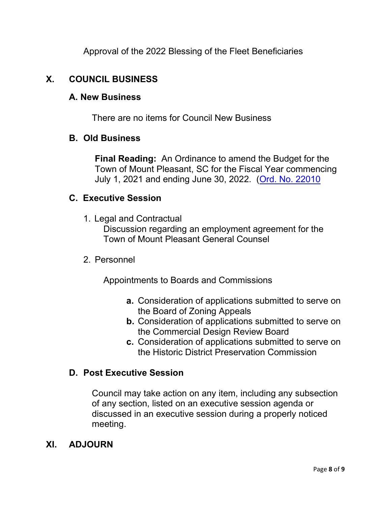Approval of the 2022 Blessing of the Fleet Beneficiaries

# **X. COUNCIL BUSINESS**

#### **A. New Business**

There are no items for Council New Business

#### **B. Old Business**

**Final Reading:** An Ordinance to amend the Budget for the Town of Mount Pleasant, SC for the Fiscal Year commencing July 1, 2021 and ending June 30, 2022. [\(Ord. No. 22010](https://www.tompsc.com/DocumentCenter/View/40219/Ord-No-22010)

## **C. Executive Session**

1. Legal and Contractual

Discussion regarding an employment agreement for the Town of Mount Pleasant General Counsel

## 2. Personnel

Appointments to Boards and Commissions

- **a.** Consideration of applications submitted to serve on the Board of Zoning Appeals
- **b.** Consideration of applications submitted to serve on the Commercial Design Review Board
- **c.** Consideration of applications submitted to serve on the Historic District Preservation Commission

## **D. Post Executive Session**

Council may take action on any item, including any subsection of any section, listed on an executive session agenda or discussed in an executive session during a properly noticed meeting.

## **XI. ADJOURN**